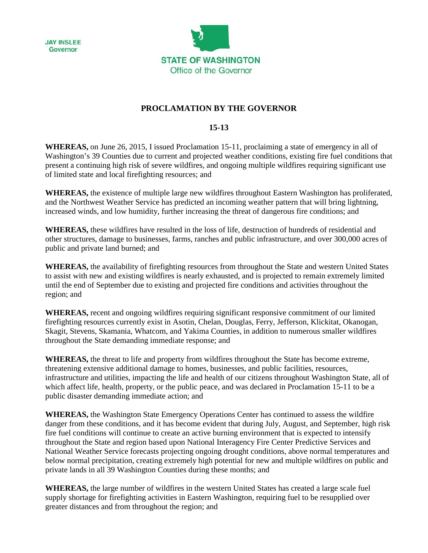



## **PROCLAMATION BY THE GOVERNOR**

## **15-13**

**WHEREAS,** on June 26, 2015, I issued Proclamation 15-11, proclaiming a state of emergency in all of Washington's 39 Counties due to current and projected weather conditions, existing fire fuel conditions that present a continuing high risk of severe wildfires, and ongoing multiple wildfires requiring significant use of limited state and local firefighting resources; and

**WHEREAS,** the existence of multiple large new wildfires throughout Eastern Washington has proliferated, and the Northwest Weather Service has predicted an incoming weather pattern that will bring lightning, increased winds, and low humidity, further increasing the threat of dangerous fire conditions; and

**WHEREAS,** these wildfires have resulted in the loss of life, destruction of hundreds of residential and other structures, damage to businesses, farms, ranches and public infrastructure, and over 300,000 acres of public and private land burned; and

**WHEREAS,** the availability of firefighting resources from throughout the State and western United States to assist with new and existing wildfires is nearly exhausted, and is projected to remain extremely limited until the end of September due to existing and projected fire conditions and activities throughout the region; and

**WHEREAS,** recent and ongoing wildfires requiring significant responsive commitment of our limited firefighting resources currently exist in Asotin, Chelan, Douglas, Ferry, Jefferson, Klickitat, Okanogan, Skagit, Stevens, Skamania, Whatcom, and Yakima Counties, in addition to numerous smaller wildfires throughout the State demanding immediate response; and

**WHEREAS,** the threat to life and property from wildfires throughout the State has become extreme, threatening extensive additional damage to homes, businesses, and public facilities, resources, infrastructure and utilities, impacting the life and health of our citizens throughout Washington State, all of which affect life, health, property, or the public peace, and was declared in Proclamation 15-11 to be a public disaster demanding immediate action; and

**WHEREAS,** the Washington State Emergency Operations Center has continued to assess the wildfire danger from these conditions, and it has become evident that during July, August, and September, high risk fire fuel conditions will continue to create an active burning environment that is expected to intensify throughout the State and region based upon National Interagency Fire Center Predictive Services and National Weather Service forecasts projecting ongoing drought conditions, above normal temperatures and below normal precipitation, creating extremely high potential for new and multiple wildfires on public and private lands in all 39 Washington Counties during these months; and

**WHEREAS,** the large number of wildfires in the western United States has created a large scale fuel supply shortage for firefighting activities in Eastern Washington, requiring fuel to be resupplied over greater distances and from throughout the region; and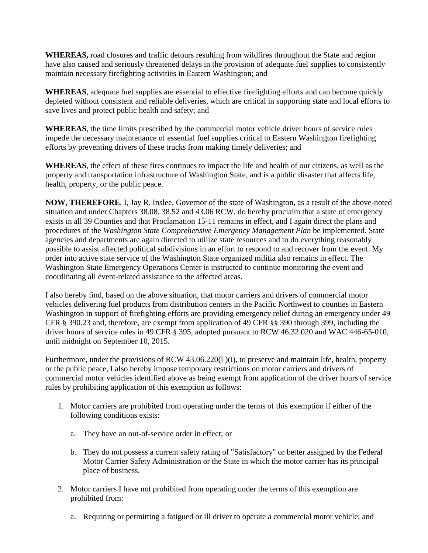**WHEREAS,** road closures and traffic detours resulting from wildfires throughout the State and region have also caused and seriously threatened delays in the provision of adequate fuel supplies to consistently maintain necessary firefighting activities in Eastern Washington; and

**WHEREAS**, adequate fuel supplies are essential to effective firefighting efforts and can become quickly depleted without consistent and reliable deliveries, which are critical in supporting state and local efforts to save lives and protect public health and safety; and

**WHEREAS**, the time limits prescribed by the commercial motor vehicle driver hours of service rules impede the necessary maintenance of essential fuel supplies critical to Eastern Washington firefighting efforts by preventing drivers of these trucks from making timely deliveries; and

**WHEREAS**, the effect of these fires continues to impact the life and health of our citizens, as well as the property and transportation infrastructure of Washington State, and is a public disaster that affects life, health, property, or the public peace.

**NOW, THEREFORE**, I, Jay R. Inslee, Governor of the state of Washington, as a result of the above-noted situation and under Chapters 38.08, 38.52 and 43.06 RCW, do hereby proclaim that a state of emergency exists in all 39 Counties and that Proclamation 15-11 remains in effect, and I again direct the plans and procedures of the *Washington State Comprehensive Emergency Management Plan* be implemented. State agencies and departments are again directed to utilize state resources and to do everything reasonably possible to assist affected political subdivisions in an effort to respond to and recover from the event. My order into active state service of the Washington State organized militia also remains in effect. The Washington State Emergency Operations Center is instructed to continue monitoring the event and coordinating all event-related assistance to the affected areas.

I also hereby find, based on the above situation, that motor carriers and drivers of commercial motor vehicles delivering fuel products from distribution centers in the Pacific Northwest to counties in Eastern Washington in support of firefighting efforts are providing emergency relief during an emergency under 49 CFR § 390.23 and, therefore, are exempt from application of 49 CFR §§ 390 through 399, including the driver hours of service rules in 49 CFR § 395, adopted pursuant to RCW 46.32.020 and WAC 446-65-010, until midnight on September 10, 2015.

Furthermore, under the provisions of RCW 43.06.220(1)(i), to preserve and maintain life, health, property or the public peace, I also hereby impose temporary restrictions on motor carriers and drivers of commercial motor vehicles identified above as being exempt from application of the driver hours of service rules by prohibiting application of this exemption as follows:

- 1. Motor carriers are prohibited from operating under the terms of this exemption if either of the following conditions exists:
	- a. They have an out-of-service order in effect; or
	- b. They do not possess a current safety rating of "Satisfactory" or better assigned by the Federal Motor Carrier Safety Administration or the State in which the motor carrier has its principal place of business.
- 2. Motor carriers I have not prohibited from operating under the terms of this exemption are prohibited from:
	- a. Requiring or permitting a fatigued or ill driver to operate a commercial motor vehicle; and